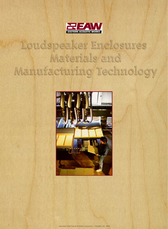

# Loudspeaker Enclosures Materials and Manufacturing Technology



reprinted from Sound & Video Contractor / October 20, 1995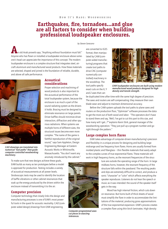## **Earthquakes, fire, tornadoes...and glue are all factors to consider when building professional loudspeaker enclosures.**

#### *by Steven Saraceno*

are converted to IGES format, then manipulated by CAM (computer-aided manufacturing) programs that create tool paths to

**A**n old Arab proverb says, "Anything without foundation must fall." Anyone who has flown or installed a loudspeaker enclosure above someone's head can appreciate the importance of this concept. The modern loudspeaker enclosure is a complex structure that integrates steel, aircraft aluminum and manufactured wood products. How these materials are selected, shaped and joined is the foundation of reliable, durable, and above all safe performance.



*CAD drawings are translated into numerical "tool paths" that guide computer-controlled woodworking machinery.*

### **Acoustical considerations**

Proper selection and machining of wood products is also important to the acoustical performance of the total loudspeaker system, because the enclosure is as much a part of the sound radiating system as the drivers it holds. Bracing must be designed to eliminate resonance on large panels. Driver baffles should minimize driver interaction, diffraction and other spurious radiations. When systems use multiple horns of different sizes, the structural issues become even more complex. "The name of the game is faithful reproduction of the original sound," says Sam Appleton, Design Engineering Manager at Eastern Acoustic Works in Whitinsville, Massachusetts. "You don't want any anomaly introduced by the cabinet."

drive CNC (computer numerically controlled) machinery in the woodshop. The tool paths specify exact cuts on the X, Y and Z axes that can



*EAW loudspeaker enclosures are built using modern manufactured wood products designed for high density and tensile strength.*

be duplicated time after time with the same high degree of precision. The saws and routers are self-compensating: they measure their own blade wear and adjust to maintain dimensional accuracy.

Before the CAM system uploads the tool paths to plane saws and routers on the production floor, "Optimizer" software processes the data to get the most out of both wood and labor. "The operators don't have to stand there and say, 'Well, I've got to cut this part to this size, and how many will I get...?'"explains Kevin Stirk, general manager of the woodworking operation. "They just pull up a program number and go right through the pattern."

#### **Large complex horn flares**

EAW takes advantage of computer-driven manufacturing's precision and flexibility in a unique process for designing and building large midrange and low frequency horn flares. Horns are usually formed from molded plastic and fiberglass – thin flexible materials that easily adapt to the complex curves of true exponential flares. These materials will work in high frequency horns, as the resonant frequencies of the struc-

> ture are outside the operating range of the horn. In large midbass horns, however, the resonant frequency of the structure falls within the passband. The resulting peaks and dips are extremely difficult to correct, and produce a sonic "character" or "color" which affects everything the speaker reproduces. Listeners do not hear the speech or music as it was intended: the sound of the speaker itself gets in the way.

> Wood has high internal friction, which cuts down on resonance. But horns built of thick sheets of wood must simplify the flare in order to accommodate the limitations of the material, producing gross approximations of the true exponential expansion. EAW's process creates a complex flare using thin birch laminates. High density

To make sure that new designs achieve these goals, EAW builds as many as ten prototypes before a model is approved for production. Testing includes a variety of acoustical measurements at all power levels. Stroboscopic tests may be used to identify the location of baffle vibrations or other cabinet resonances that soak up the energy produced by the drivers within the enclosure instead of transmitting it to the air.

#### **Computer precision**

Computer technology that closely links the design and manufacturing processes is one of EAW's most powerful tools in the quest for acoustic neutrality. CAD (computer aided design) drawings from EAW engineering



*Computer-programmed saws cut pieces to exacting tolerances.*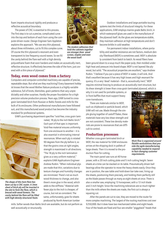foam imparts structural rigidity and produces a reflective acoustical boundary.

The power of CNC is essential to this process. The first step is to cut a precise, complicated curve into the top and bottom of each horn using the computer-driven router. Design Engineer Sam Appleton explains the approach. "We use very thin plywood, about three millimeters, cut to fit this complex curve. Of course the thin plywood is resonant and even transparent to low frequency sound waves. So we fill the cavity behind the flare wall with a high density



*The modern adhesives that hold the cabinets together are stronger than wood screws, staples and even the wood itself.*

polyurethane foam that soon hardens and makes an acoustically inert, reflective structure. It effectively becomes the side of the horn, just covered with a thin piece of plywood."

#### **Today, even wood comes from a factory**

Computers and computer-controlled machinery are capable of precise, repeatable steps. But what are they machining? Every basement hobbyist knows that the wood Mother Nature produces is a highly variable substance, full of knots, blemishes, grain patterns that vary unpredictably and other surprises. Hardly the proper foundation for a high precision volume production process. Years ago, EAW turned to crossgrain laminated birch from Russian or Baltic forests and mills for the bulk of its enclosures. Other professional manufacturers have followed suit, and this manufactured wood product has become the industry standard for professional systems.

EAW's purchasing department specifies "void-free, cross grain lami-



*The shape of this horn flare has been cut by a CNC router. A 3mm sheet of birch ply will be inserted in the slot to form the flare, which is braced with wood formers. The cavity behind the flare will be filled with high density structural foam.*

nated, 18 ply to the inch Baltic birch." Each part of that spec is important. Void-free material ensures uniformity from one enclosure to another – it is also essential in eliminating internal resonances. When each ply is rotated 90 degrees from the ply before it, so that the grains cross at right angles, strength is maximized in all directions. "The 18 ply to the inch lamination gives us a very uniform material," explains EAW Applications Engineer Andrew Rutkin. "When individual plys are made that thin, variations due to texture changes and humidity changes are minimized. There's not as much wood thickness to change, and also there's more glue in the wood, which adds to the stiffness." Material with fewer plys to the inch is cheaper, of course, but not as consistent. The same, unfortunately, goes for sheets produced by North American lumber

mills. Softer woods than Baltic birch are available, but do not perform as well acoustically or structurally.

Outdoor installations and large portable touring systems test the limits of structural integrity. For these applications, EAW employs marine grade Baltic birch, in which waterproof glues are used in the manufacture of the plywood itself. As the glues are temperature-stable, they maintain adhesion at high temperatures and don't become brittle in cold weather.

For permanent indoor installations, where portability and weather resistance are not factors, medium density fiberboard (MDF) is sometimes used. MDF is absolutely consistent from batch to batch. Its wood fibers have

been ground down to a soup much like paper pulp, then molded under high heat and pressure into board shape. MDF is not layered like plywood, but solid. "The acoustical properties are excellent," says Andrew Rutkin. "I believe if you put a piece of MDF in water, it will sink. And that's excellent because it has very high losses and high resonant frequency. It's a very 'dead' material— that is, acoustically inert." MDF requires minimal bracing to produce an acoustically inert structure, but its shear strength is lower than cross-grain laminated plywood, which is

why it is not used for portable systems, or in front baffles that must support heavy cone transducers.

There are materials similar to MDF, such as chipboard or particle board, which EAW will not use. Made through the simple gluing together of castoff flakes, these materials have very low shear strength and are not consistent. These low density materials are prone to resonances that are difficult to control.

#### **Production processes**

Whether cross-grain laminated birch or MDF, the raw material for EAW enclosures arrives at the shipping dock in pallets of large sheets. Then it is moved to the production floor for cutting.

The main panel saw runs at 40 horse-

power, with a 20 inch cutting plate and 5 inch cutting height. Seven sheets at a time can be stacked on its table. Pneumatically driven ball bearings allow the operator to move the heavy sheets easily. Once they are in position, the saw table and hold-down bar take over, lining up the sheets, positioning them precisely, and holding them perfectly still as the blade passes through as many as eight sheets at once. There is also a smaller saw, employing 13 horsepower, with a 13 inch blade and 3 inch height. Since the machining tolerances are so much tighter than the mills where the sheets are made, the first cut is always a squaring cut.

After the panels are cut to size, they are moved to the router for more complex machining. The largest of the routing machines cost over \$250,000. But it does have two mechanized tables and eight heads. Four of the heads are fixed and four are smaller "piggyback" heads that



*Work flow is organized around fleixble workstations that provide the agile manufacturing capability needed to respond to fast-changing customer requirements.*